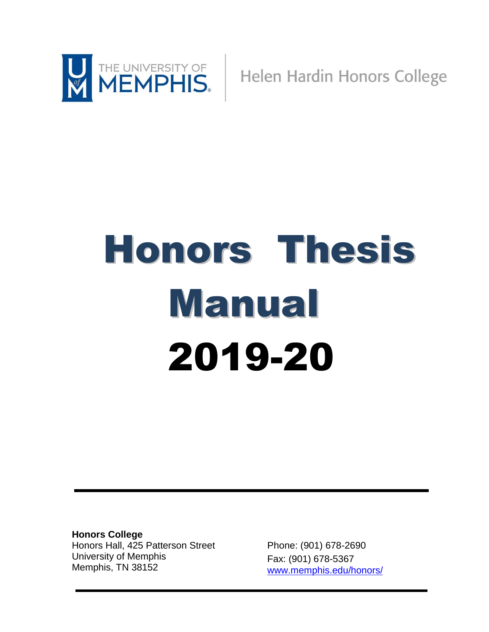

Helen Hardin Honors College

# Honors Thesis Manual 2019-20

**Honors College** Honors Hall, 425 Patterson Street University of Memphis Memphis, TN 38152

Phone: (901) 678-2690 Fax: (901) 678-5367 [www.memphis.edu/honors/](http://www.memphis.edu/honors/)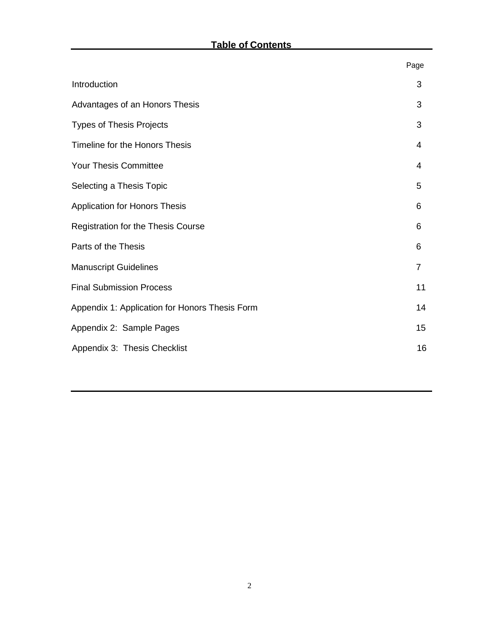|                                                | Page |
|------------------------------------------------|------|
| Introduction                                   | 3    |
| Advantages of an Honors Thesis                 | 3    |
| <b>Types of Thesis Projects</b>                | 3    |
| Timeline for the Honors Thesis                 | 4    |
| Your Thesis Committee                          | 4    |
| Selecting a Thesis Topic                       | 5    |
| <b>Application for Honors Thesis</b>           | 6    |
| Registration for the Thesis Course             | 6    |
| Parts of the Thesis                            | 6    |
| <b>Manuscript Guidelines</b>                   | 7    |
| <b>Final Submission Process</b>                | 11   |
| Appendix 1: Application for Honors Thesis Form | 14   |
| Appendix 2: Sample Pages                       | 15   |
| Appendix 3: Thesis Checklist                   | 16   |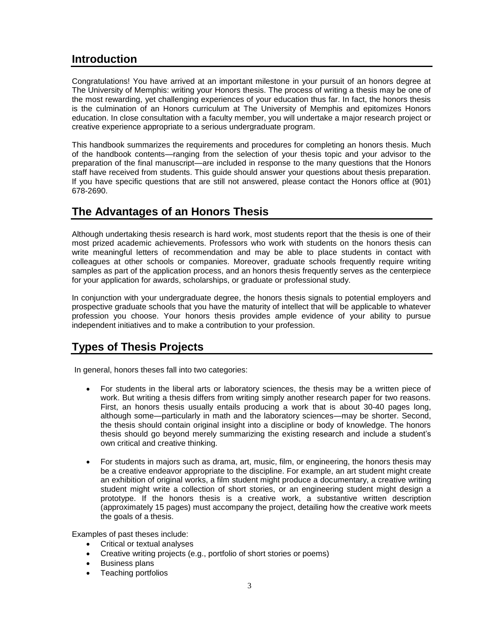## <span id="page-2-0"></span>**Introduction**

Congratulations! You have arrived at an important milestone in your pursuit of an honors degree at The University of Memphis: writing your Honors thesis. The process of writing a thesis may be one of the most rewarding, yet challenging experiences of your education thus far. In fact, the honors thesis is the culmination of an Honors curriculum at The University of Memphis and epitomizes Honors education. In close consultation with a faculty member, you will undertake a major research project or creative experience appropriate to a serious undergraduate program.

This handbook summarizes the requirements and procedures for completing an honors thesis. Much of the handbook contents—ranging from the selection of your thesis topic and your advisor to the preparation of the final manuscript—are included in response to the many questions that the Honors staff have received from students. This guide should answer your questions about thesis preparation. If you have specific questions that are still not answered, please contact the Honors office at (901) 678-2690.

## **The Advantages of an Honors Thesis**

Although undertaking thesis research is hard work, most students report that the thesis is one of their most prized academic achievements. Professors who work with students on the honors thesis can write meaningful letters of recommendation and may be able to place students in contact with colleagues at other schools or companies. Moreover, graduate schools frequently require writing samples as part of the application process, and an honors thesis frequently serves as the centerpiece for your application for awards, scholarships, or graduate or professional study.

In conjunction with your undergraduate degree, the honors thesis signals to potential employers and prospective graduate schools that you have the maturity of intellect that will be applicable to whatever profession you choose. Your honors thesis provides ample evidence of your ability to pursue independent initiatives and to make a contribution to your profession.

## <span id="page-2-1"></span>**Types of Thesis Projects**

In general, honors theses fall into two categories:

- For students in the liberal arts or laboratory sciences, the thesis may be a written piece of work. But writing a thesis differs from writing simply another research paper for two reasons. First, an honors thesis usually entails producing a work that is about 30-40 pages long, although some—particularly in math and the laboratory sciences—may be shorter. Second, the thesis should contain original insight into a discipline or body of knowledge. The honors thesis should go beyond merely summarizing the existing research and include a student's own critical and creative thinking.
- For students in majors such as drama, art, music, film, or engineering, the honors thesis may be a creative endeavor appropriate to the discipline. For example, an art student might create an exhibition of original works, a film student might produce a documentary, a creative writing student might write a collection of short stories, or an engineering student might design a prototype. If the honors thesis is a creative work, a substantive written description (approximately 15 pages) must accompany the project, detailing how the creative work meets the goals of a thesis.

Examples of past theses include:

- Critical or textual analyses
- Creative writing projects (e.g., portfolio of short stories or poems)
- Business plans
- Teaching portfolios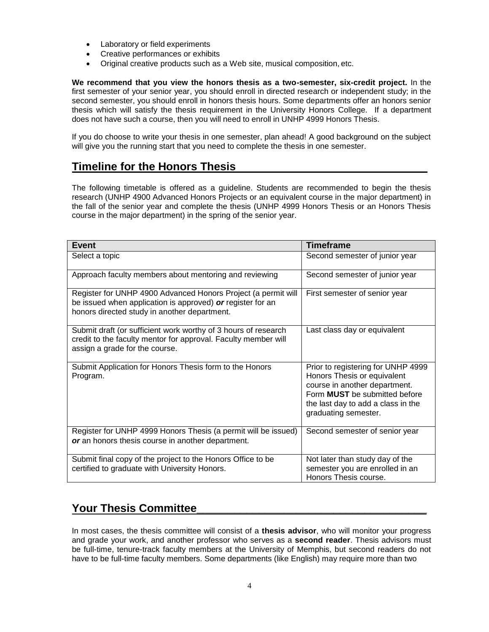- Laboratory or field experiments
- Creative performances or exhibits
- Original creative products such as a Web site, musical composition, etc.

**We recommend that you view the honors thesis as a two-semester, six-credit project.** In the first semester of your senior year, you should enroll in directed research or independent study; in the second semester, you should enroll in honors thesis hours. Some departments offer an honors senior thesis which will satisfy the thesis requirement in the University Honors College. If a department does not have such a course, then you will need to enroll in UNHP 4999 Honors Thesis.

If you do choose to write your thesis in one semester, plan ahead! A good background on the subject will give you the running start that you need to complete the thesis in one semester.

## <span id="page-3-0"></span>**Timeline for the Honors Thesis**

The following timetable is offered as a guideline. Students are recommended to begin the thesis research (UNHP 4900 Advanced Honors Projects or an equivalent course in the major department) in the fall of the senior year and complete the thesis (UNHP 4999 Honors Thesis or an Honors Thesis course in the major department) in the spring of the senior year.

| <b>Event</b>                                                                                                                                                                | <b>Timeframe</b>                                                                                                                                                                                         |
|-----------------------------------------------------------------------------------------------------------------------------------------------------------------------------|----------------------------------------------------------------------------------------------------------------------------------------------------------------------------------------------------------|
| Select a topic                                                                                                                                                              | Second semester of junior year                                                                                                                                                                           |
| Approach faculty members about mentoring and reviewing                                                                                                                      | Second semester of junior year                                                                                                                                                                           |
| Register for UNHP 4900 Advanced Honors Project (a permit will<br>be issued when application is approved) or register for an<br>honors directed study in another department. | First semester of senior year                                                                                                                                                                            |
| Submit draft (or sufficient work worthy of 3 hours of research<br>credit to the faculty mentor for approval. Faculty member will<br>assign a grade for the course.          | Last class day or equivalent                                                                                                                                                                             |
| Submit Application for Honors Thesis form to the Honors<br>Program.                                                                                                         | Prior to registering for UNHP 4999<br>Honors Thesis or equivalent<br>course in another department.<br>Form <b>MUST</b> be submitted before<br>the last day to add a class in the<br>graduating semester. |
| Register for UNHP 4999 Honors Thesis (a permit will be issued)<br>or an honors thesis course in another department.                                                         | Second semester of senior year                                                                                                                                                                           |
| Submit final copy of the project to the Honors Office to be<br>certified to graduate with University Honors.                                                                | Not later than study day of the<br>semester you are enrolled in an<br>Honors Thesis course.                                                                                                              |

## <span id="page-3-1"></span>**Your Thesis Committee\_\_\_\_\_\_\_\_\_\_\_\_\_\_\_\_\_\_\_\_\_\_\_\_\_\_\_\_\_\_\_\_\_\_\_\_\_**

In most cases, the thesis committee will consist of a **thesis advisor**, who will monitor your progress and grade your work, and another professor who serves as a **second reader**. Thesis advisors must be full-time, tenure-track faculty members at the University of Memphis, but second readers do not have to be full-time faculty members. Some departments (like English) may require more than two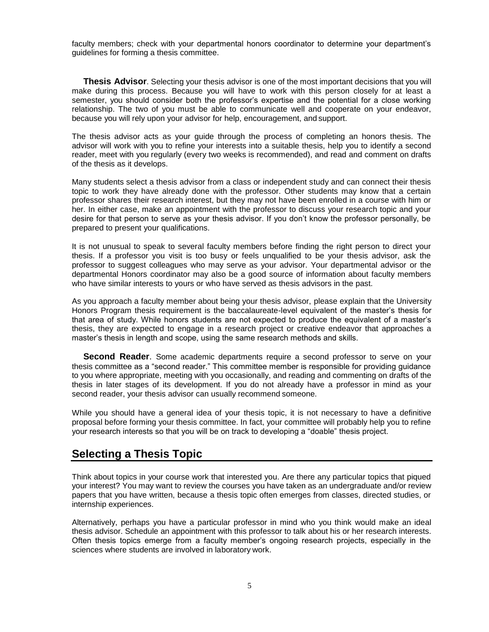faculty members; check with your departmental honors coordinator to determine your department's guidelines for forming a thesis committee.

**Thesis Advisor**. Selecting your thesis advisor is one of the most important decisions that you will make during this process. Because you will have to work with this person closely for at least a semester, you should consider both the professor's expertise and the potential for a close working relationship. The two of you must be able to communicate well and cooperate on your endeavor, because you will rely upon your advisor for help, encouragement, and support.

The thesis advisor acts as your guide through the process of completing an honors thesis. The advisor will work with you to refine your interests into a suitable thesis, help you to identify a second reader, meet with you regularly (every two weeks is recommended), and read and comment on drafts of the thesis as it develops.

Many students select a thesis advisor from a class or independent study and can connect their thesis topic to work they have already done with the professor. Other students may know that a certain professor shares their research interest, but they may not have been enrolled in a course with him or her. In either case, make an appointment with the professor to discuss your research topic and your desire for that person to serve as your thesis advisor. If you don't know the professor personally, be prepared to present your qualifications.

It is not unusual to speak to several faculty members before finding the right person to direct your thesis. If a professor you visit is too busy or feels unqualified to be your thesis advisor, ask the professor to suggest colleagues who may serve as your advisor. Your departmental advisor or the departmental Honors coordinator may also be a good source of information about faculty members who have similar interests to yours or who have served as thesis advisors in the past.

As you approach a faculty member about being your thesis advisor, please explain that the University Honors Program thesis requirement is the baccalaureate-level equivalent of the master's thesis for that area of study. While honors students are not expected to produce the equivalent of a master's thesis, they are expected to engage in a research project or creative endeavor that approaches a master's thesis in length and scope, using the same research methods and skills.

**Second Reader**. Some academic departments require a second professor to serve on your thesis committee as a "second reader." This committee member is responsible for providing guidance to you where appropriate, meeting with you occasionally, and reading and commenting on drafts of the thesis in later stages of its development. If you do not already have a professor in mind as your second reader, your thesis advisor can usually recommend someone.

While you should have a general idea of your thesis topic, it is not necessary to have a definitive proposal before forming your thesis committee. In fact, your committee will probably help you to refine your research interests so that you will be on track to developing a "doable" thesis project.

## <span id="page-4-0"></span>**Selecting a Thesis Topic**

Think about topics in your course work that interested you. Are there any particular topics that piqued your interest? You may want to review the courses you have taken as an undergraduate and/or review papers that you have written, because a thesis topic often emerges from classes, directed studies, or internship experiences.

Alternatively, perhaps you have a particular professor in mind who you think would make an ideal thesis advisor. Schedule an appointment with this professor to talk about his or her research interests. Often thesis topics emerge from a faculty member's ongoing research projects, especially in the sciences where students are involved in laboratory work.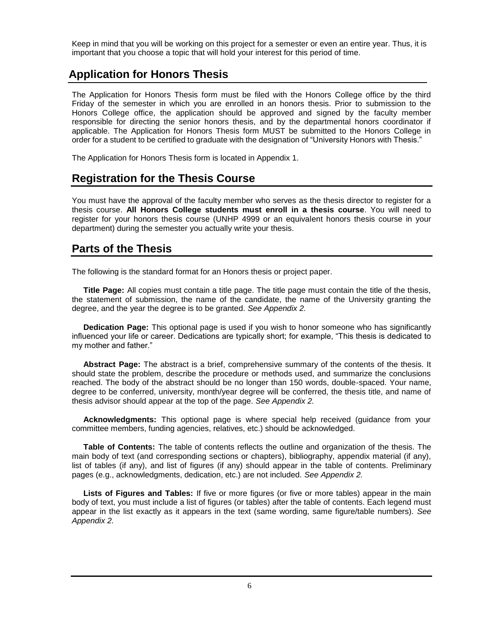Keep in mind that you will be working on this project for a semester or even an entire year. Thus, it is important that you choose a topic that will hold your interest for this period of time.

## <span id="page-5-0"></span>**Application for Honors Thesis**

The Application for Honors Thesis form must be filed with the Honors College office by the third Friday of the semester in which you are enrolled in an honors thesis. Prior to submission to the Honors College office, the application should be approved and signed by the faculty member responsible for directing the senior honors thesis, and by the departmental honors coordinator if applicable. The Application for Honors Thesis form MUST be submitted to the Honors College in order for a student to be certified to graduate with the designation of "University Honors with Thesis."

The Application for Honors Thesis form is located in Appendix 1.

## <span id="page-5-1"></span>**Registration for the Thesis Course**

You must have the approval of the faculty member who serves as the thesis director to register for a thesis course. **All Honors College students must enroll in a thesis course**. You will need to register for your honors thesis course (UNHP 4999 or an equivalent honors thesis course in your department) during the semester you actually write your thesis.

## <span id="page-5-2"></span>**Parts of the Thesis**

The following is the standard format for an Honors thesis or project paper.

**Title Page:** All copies must contain a title page. The title page must contain the title of the thesis, the statement of submission, the name of the candidate, the name of the University granting the degree, and the year the degree is to be granted. *See Appendix 2.*

**Dedication Page:** This optional page is used if you wish to honor someone who has significantly influenced your life or career. Dedications are typically short; for example, "This thesis is dedicated to my mother and father."

**Abstract Page:** The abstract is a brief, comprehensive summary of the contents of the thesis. It should state the problem, describe the procedure or methods used, and summarize the conclusions reached. The body of the abstract should be no longer than 150 words, double-spaced. Your name, degree to be conferred, university, month/year degree will be conferred, the thesis title, and name of thesis advisor should appear at the top of the page. *See Appendix 2.*

**Acknowledgments:** This optional page is where special help received (guidance from your committee members, funding agencies, relatives, etc.) should be acknowledged.

**Table of Contents:** The table of contents reflects the outline and organization of the thesis. The main body of text (and corresponding sections or chapters), bibliography, appendix material (if any), list of tables (if any), and list of figures (if any) should appear in the table of contents. Preliminary pages (e.g., acknowledgments, dedication, etc.) are not included. *See Appendix 2.*

**Lists of Figures and Tables:** If five or more figures (or five or more tables) appear in the main body of text, you must include a list of figures (or tables) after the table of contents. Each legend must appear in the list exactly as it appears in the text (same wording, same figure/table numbers). *See Appendix 2.*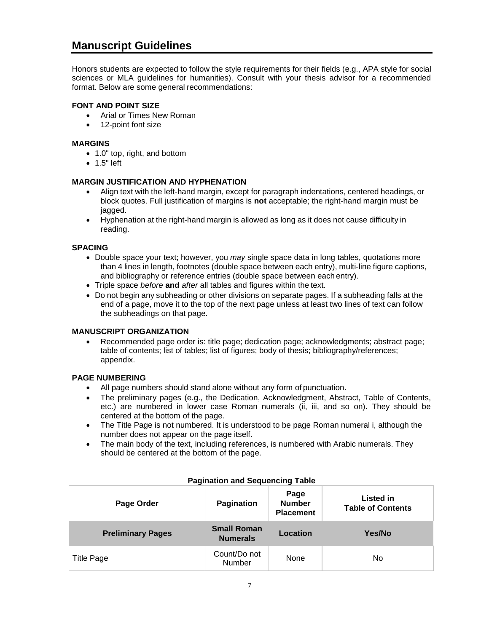## <span id="page-6-0"></span>**Manuscript Guidelines**

Honors students are expected to follow the style requirements for their fields (e.g., APA style for social sciences or MLA guidelines for humanities). Consult with your thesis advisor for a recommended format. Below are some general recommendations:

#### **FONT AND POINT SIZE**

- Arial or Times New Roman
- 12-point font size

#### **MARGINS**

- 1.0" top, right, and bottom
- 1.5" left

#### **MARGIN JUSTIFICATION AND HYPHENATION**

- Align text with the left-hand margin, except for paragraph indentations, centered headings, or block quotes. Full justification of margins is **not** acceptable; the right-hand margin must be jagged.
- Hyphenation at the right-hand margin is allowed as long as it does not cause difficulty in reading.

#### **SPACING**

- Double space your text; however, you *may* single space data in long tables, quotations more than 4 lines in length, footnotes (double space between each entry), multi-line figure captions, and bibliography or reference entries (double space between each entry).
- Triple space *before* **and** *after* all tables and figures within the text.
- Do not begin any subheading or other divisions on separate pages. If a subheading falls at the end of a page, move it to the top of the next page unless at least two lines of text can follow the subheadings on that page.

#### **MANUSCRIPT ORGANIZATION**

• Recommended page order is: title page; dedication page; acknowledgments; abstract page; table of contents; list of tables; list of figures; body of thesis; bibliography/references; appendix.

#### **PAGE NUMBERING**

- All page numbers should stand alone without any form of punctuation.
- The preliminary pages (e.g., the Dedication, Acknowledgment, Abstract, Table of Contents, etc.) are numbered in lower case Roman numerals (ii, iii, and so on). They should be centered at the bottom of the page.
- The Title Page is not numbered. It is understood to be page Roman numeral i, although the number does not appear on the page itself.
- The main body of the text, including references, is numbered with Arabic numerals. They should be centered at the bottom of the page.

| Page Order               | <b>Pagination</b>                     | Page<br><b>Number</b><br><b>Placement</b> | <b>Listed in</b><br><b>Table of Contents</b> |
|--------------------------|---------------------------------------|-------------------------------------------|----------------------------------------------|
| <b>Preliminary Pages</b> | <b>Small Roman</b><br><b>Numerals</b> | Location                                  | Yes/No                                       |
| <b>Title Page</b>        | Count/Do not<br>Number                | None                                      | No                                           |

#### **Pagination and Sequencing Table**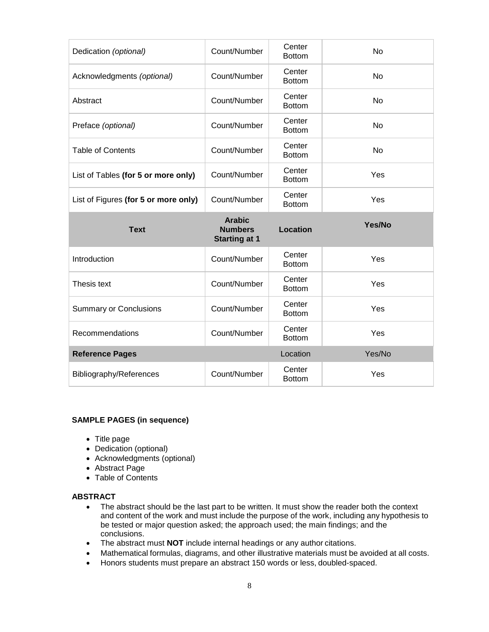| Dedication (optional)                | Count/Number                                            | Center<br><b>Bottom</b> | <b>No</b> |
|--------------------------------------|---------------------------------------------------------|-------------------------|-----------|
| Acknowledgments (optional)           | Count/Number                                            | Center<br><b>Bottom</b> | No        |
| Abstract                             | Count/Number                                            | Center<br><b>Bottom</b> | No        |
| Preface (optional)                   | Count/Number                                            | Center<br><b>Bottom</b> | <b>No</b> |
| <b>Table of Contents</b>             | Count/Number                                            | Center<br><b>Bottom</b> | No        |
| List of Tables (for 5 or more only)  | Count/Number                                            | Center<br><b>Bottom</b> | Yes       |
| List of Figures (for 5 or more only) | Count/Number                                            | Center<br><b>Bottom</b> | Yes       |
|                                      |                                                         |                         |           |
| <b>Text</b>                          | <b>Arabic</b><br><b>Numbers</b><br><b>Starting at 1</b> | <b>Location</b>         | Yes/No    |
| Introduction                         | Count/Number                                            | Center<br><b>Bottom</b> | Yes       |
| Thesis text                          | Count/Number                                            | Center<br><b>Bottom</b> | Yes       |
| <b>Summary or Conclusions</b>        | Count/Number                                            | Center<br><b>Bottom</b> | Yes       |
| Recommendations                      | Count/Number                                            | Center<br><b>Bottom</b> | Yes       |
| <b>Reference Pages</b>               |                                                         | Location                | Yes/No    |
| Bibliography/References              | Count/Number                                            | Center<br><b>Bottom</b> | Yes       |

#### **SAMPLE PAGES (in sequence)**

- Title page
- Dedication (optional)
- Acknowledgments (optional)
- Abstract Page
- Table of Contents

#### **ABSTRACT**

- The abstract should be the last part to be written. It must show the reader both the context and content of the work and must include the purpose of the work, including any hypothesis to be tested or major question asked; the approach used; the main findings; and the conclusions.
- The abstract must **NOT** include internal headings or any author citations.
- Mathematical formulas, diagrams, and other illustrative materials must be avoided at all costs.
- Honors students must prepare an abstract 150 words or less, doubled-spaced.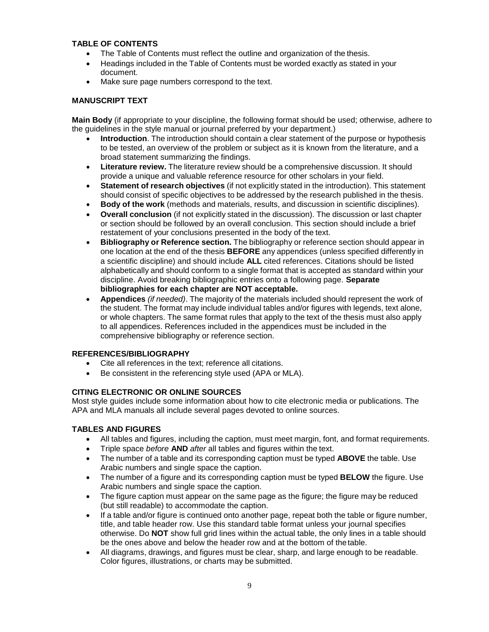#### **TABLE OF CONTENTS**

- The Table of Contents must reflect the outline and organization of the thesis.
- Headings included in the Table of Contents must be worded exactly as stated in your document.
- Make sure page numbers correspond to the text.

#### **MANUSCRIPT TEXT**

**Main Body** (if appropriate to your discipline, the following format should be used; otherwise, adhere to the guidelines in the style manual or journal preferred by your department.)

- **Introduction**. The introduction should contain a clear statement of the purpose or hypothesis to be tested, an overview of the problem or subject as it is known from the literature, and a broad statement summarizing the findings.
- **Literature review.** The literature review should be a comprehensive discussion. It should provide a unique and valuable reference resource for other scholars in your field.
- **Statement of research objectives** (if not explicitly stated in the introduction). This statement should consist of specific objectives to be addressed by the research published in the thesis.
- **Body of the work** (methods and materials, results, and discussion in scientific disciplines).
- **Overall conclusion** (if not explicitly stated in the discussion). The discussion or last chapter or section should be followed by an overall conclusion. This section should include a brief restatement of your conclusions presented in the body of the text.
- **Bibliography or Reference section.** The bibliography or reference section should appear in one location at the end of the thesis **BEFORE** any appendices (unless specified differently in a scientific discipline) and should include **ALL** cited references. Citations should be listed alphabetically and should conform to a single format that is accepted as standard within your discipline. Avoid breaking bibliographic entries onto a following page. **Separate bibliographies for each chapter are NOT acceptable.**
- **Appendices** *(if needed)*. The majority of the materials included should represent the work of the student. The format may include individual tables and/or figures with legends, text alone, or whole chapters. The same format rules that apply to the text of the thesis must also apply to all appendices. References included in the appendices must be included in the comprehensive bibliography or reference section.

#### **REFERENCES/BIBLIOGRAPHY**

- Cite all references in the text; reference all citations.
- Be consistent in the referencing style used (APA or MLA).

#### **CITING ELECTRONIC OR ONLINE SOURCES**

Most style guides include some information about how to cite electronic media or publications. The APA and MLA manuals all include several pages devoted to online sources.

#### **TABLES AND FIGURES**

- All tables and figures, including the caption, must meet margin, font, and format requirements.
- Triple space *before* **AND** *after* all tables and figures within the text.
- The number of a table and its corresponding caption must be typed **ABOVE** the table. Use Arabic numbers and single space the caption.
- The number of a figure and its corresponding caption must be typed **BELOW** the figure. Use Arabic numbers and single space the caption.
- The figure caption must appear on the same page as the figure; the figure may be reduced (but still readable) to accommodate the caption.
- If a table and/or figure is continued onto another page, repeat both the table or figure number, title, and table header row. Use this standard table format unless your journal specifies otherwise. Do **NOT** show full grid lines within the actual table, the only lines in a table should be the ones above and below the header row and at the bottom of thetable.
- All diagrams, drawings, and figures must be clear, sharp, and large enough to be readable. Color figures, illustrations, or charts may be submitted.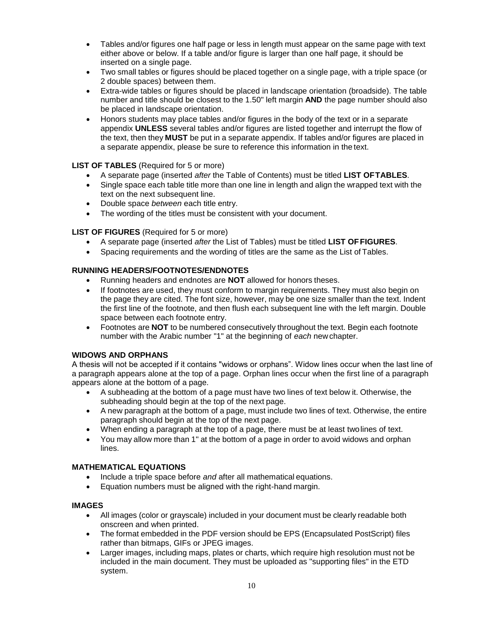- Tables and/or figures one half page or less in length must appear on the same page with text either above or below. If a table and/or figure is larger than one half page, it should be inserted on a single page.
- Two small tables or figures should be placed together on a single page, with a triple space (or 2 double spaces) between them.
- Extra-wide tables or figures should be placed in landscape orientation (broadside). The table number and title should be closest to the 1.50" left margin **AND** the page number should also be placed in landscape orientation.
- Honors students may place tables and/or figures in the body of the text or in a separate appendix **UNLESS** several tables and/or figures are listed together and interrupt the flow of the text, then they **MUST** be put in a separate appendix. If tables and/or figures are placed in a separate appendix, please be sure to reference this information in the text.

#### **LIST OF TABLES** (Required for 5 or more)

- A separate page (inserted *after* the Table of Contents) must be titled **LIST OFTABLES**.
- Single space each table title more than one line in length and align the wrapped text with the text on the next subsequent line.
- Double space *between* each title entry.
- The wording of the titles must be consistent with your document.

#### **LIST OF FIGURES** (Required for 5 or more)

- A separate page (inserted *after* the List of Tables) must be titled **LIST OFFIGURES**.
- Spacing requirements and the wording of titles are the same as the List of Tables.

#### **RUNNING HEADERS/FOOTNOTES/ENDNOTES**

- Running headers and endnotes are **NOT** allowed for honors theses.
- If footnotes are used, they must conform to margin requirements. They must also begin on the page they are cited. The font size, however, may be one size smaller than the text. Indent the first line of the footnote, and then flush each subsequent line with the left margin. Double space between each footnote entry.
- Footnotes are **NOT** to be numbered consecutively throughout the text. Begin each footnote number with the Arabic number "1" at the beginning of *each* newchapter.

#### **WIDOWS AND ORPHANS**

A thesis will not be accepted if it contains "widows or orphans". Widow lines occur when the last line of a paragraph appears alone at the top of a page. Orphan lines occur when the first line of a paragraph appears alone at the bottom of a page.

- A subheading at the bottom of a page must have two lines of text below it. Otherwise, the subheading should begin at the top of the next page.
- A new paragraph at the bottom of a page, must include two lines of text. Otherwise, the entire paragraph should begin at the top of the next page.
- When ending a paragraph at the top of a page, there must be at least twolines of text.
- You may allow more than 1" at the bottom of a page in order to avoid widows and orphan lines.

#### **MATHEMATICAL EQUATIONS**

- Include a triple space before *and* after all mathematical equations.
- Equation numbers must be aligned with the right-hand margin.

#### **IMAGES**

- All images (color or grayscale) included in your document must be clearly readable both onscreen and when printed.
- The format embedded in the PDF version should be EPS (Encapsulated PostScript) files rather than bitmaps, GIFs or JPEG images.
- Larger images, including maps, plates or charts, which require high resolution must not be included in the main document. They must be uploaded as "supporting files" in the ETD system.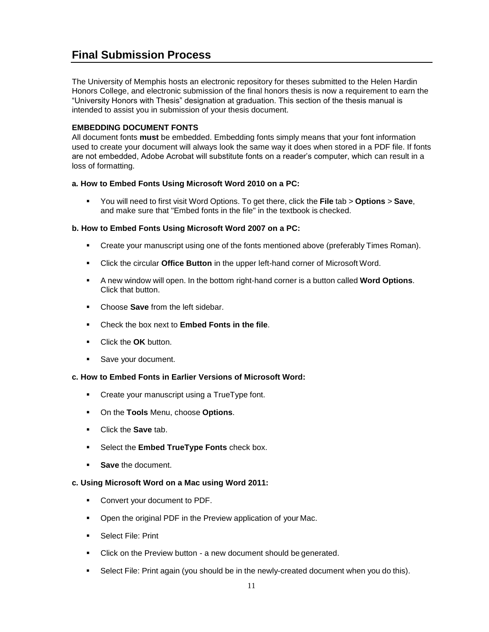## <span id="page-10-0"></span>**Final Submission Process**

The University of Memphis hosts an electronic repository for theses submitted to the Helen Hardin Honors College, and electronic submission of the final honors thesis is now a requirement to earn the "University Honors with Thesis" designation at graduation. This section of the thesis manual is intended to assist you in submission of your thesis document.

#### **EMBEDDING DOCUMENT FONTS**

All document fonts **must** be embedded. Embedding fonts simply means that your font information used to create your document will always look the same way it does when stored in a PDF file. If fonts are not embedded, Adobe Acrobat will substitute fonts on a reader's computer, which can result in a loss of formatting.

#### **a. How to Embed Fonts Using Microsoft Word 2010 on a PC:**

▪ You will need to first visit Word Options. To get there, click the **File** tab > **Options** > **Save**, and make sure that "Embed fonts in the file" in the textbook is checked.

#### **b. How to Embed Fonts Using Microsoft Word 2007 on a PC:**

- **•** Create your manuscript using one of the fonts mentioned above (preferably Times Roman).
- Click the circular **Office Button** in the upper left-hand corner of Microsoft Word.
- A new window will open. In the bottom right-hand corner is a button called **Word Options**. Click that button.
- Choose **Save** from the left sidebar.
- Check the box next to **Embed Fonts in the file**.
- Click the **OK** button.
- Save your document.

#### **c. How to Embed Fonts in Earlier Versions of Microsoft Word:**

- Create your manuscript using a TrueType font.
- On the **Tools** Menu, choose **Options**.
- Click the **Save** tab.
- Select the **Embed TrueType Fonts** check box.
- **Save** the document.

#### **c. Using Microsoft Word on a Mac using Word 2011:**

- Convert your document to PDF.
- Open the original PDF in the Preview application of your Mac.
- Select File: Print
- Click on the Preview button a new document should be generated.
- **EXEL** Select File: Print again (you should be in the newly-created document when you do this).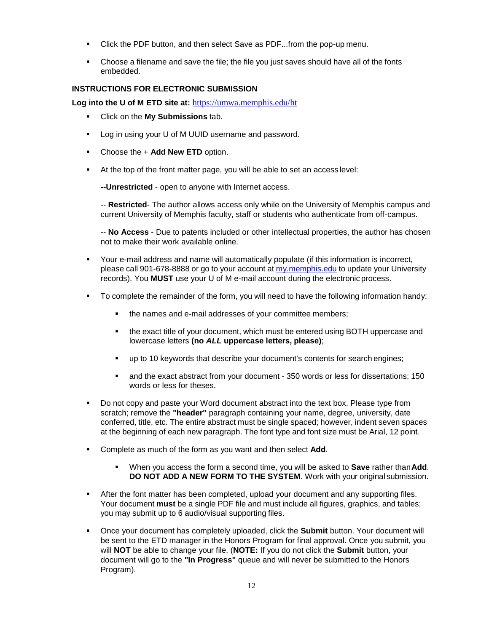- Click the PDF button, and then select Save as PDF...from the pop-up menu.
- Choose a filename and save the file; the file you just saves should have all of the fonts embedded.

#### **INSTRUCTIONS FOR ELECTRONIC SUBMISSION**

**Log into the U of M ETD site at:** <https://umwa.memphis.edu/ht>

- Click on the **My Submissions** tab.
- Log in using your U of M UUID username and password.
- Choose the + **Add New ETD** option.
- At the top of the front matter page, you will be able to set an access level:

**--Unrestricted** - open to anyone with Internet access.

-- **Restricted**- The author allows access only while on the University of Memphis campus and current University of Memphis faculty, staff or students who authenticate from off-campus.

-- **No Access** - Due to patents included or other intellectual properties, the author has chosen not to make their work available online.

- Your e-mail address and name will automatically populate (if this information is incorrect, please call 901-678-8888 or go to your account at [my.memphis.edu](https://my.memphis.edu/) to update your University records). You **MUST** use your U of M e-mail account during the electronic process.
- To complete the remainder of the form, you will need to have the following information handy:
	- the names and e-mail addresses of your committee members;
	- the exact title of your document, which must be entered using BOTH uppercase and lowercase letters **(no** *ALL* **uppercase letters, please)**;
	- up to 10 keywords that describe your document's contents for search engines;
	- and the exact abstract from your document 350 words or less for dissertations; 150 words or less for theses.
- Do not copy and paste your Word document abstract into the text box. Please type from scratch; remove the **"header"** paragraph containing your name, degree, university, date conferred, title, etc. The entire abstract must be single spaced; however, indent seven spaces at the beginning of each new paragraph. The font type and font size must be Arial, 12 point.
- Complete as much of the form as you want and then select **Add**.
	- When you access the form a second time, you will be asked to **Save** rather than**Add**. **DO NOT ADD A NEW FORM TO THE SYSTEM**. Work with your original submission.
- **EXECT** After the font matter has been completed, upload your document and any supporting files. Your document **must** be a single PDF file and must include all figures, graphics, and tables; you may submit up to 6 audio/visual supporting files.
- Once your document has completely uploaded, click the **Submit** button. Your document will be sent to the ETD manager in the Honors Program for final approval. Once you submit, you will **NOT** be able to change your file. (**NOTE:** If you do not click the **Submit** button, your document will go to the **"In Progress"** queue and will never be submitted to the Honors Program).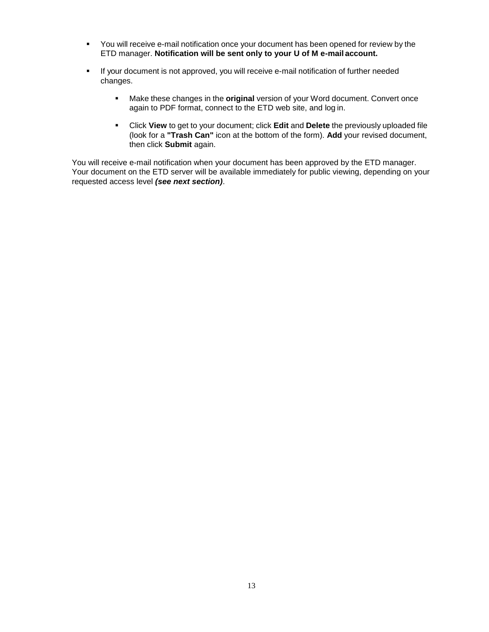- You will receive e-mail notification once your document has been opened for review by the ETD manager. **Notification will be sent only to your U of M e-mail account.**
- If your document is not approved, you will receive e-mail notification of further needed changes.
	- Make these changes in the **original** version of your Word document. Convert once again to PDF format, connect to the ETD web site, and log in.
	- Click **View** to get to your document; click **Edit** and **Delete** the previously uploaded file (look for a **"Trash Can"** icon at the bottom of the form). **Add** your revised document, then click **Submit** again.

You will receive e-mail notification when your document has been approved by the ETD manager. Your document on the ETD server will be available immediately for public viewing, depending on your requested access level *(see next section)*.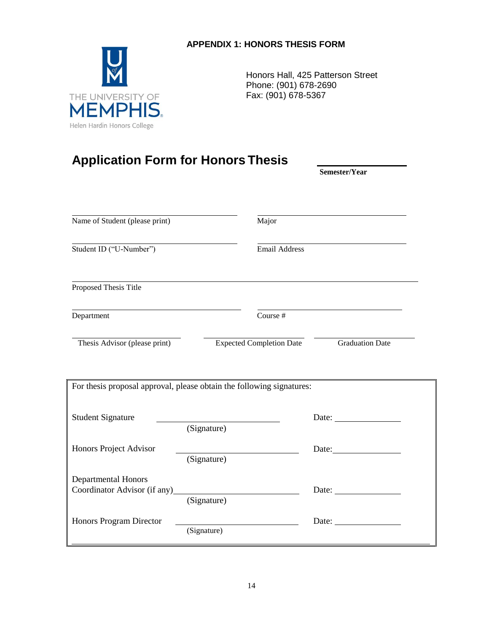## **APPENDIX 1: HONORS THESIS FORM**



Honors Hall, 425 Patterson Street Phone: (901) 678-2690 Fax: (901) 678-5367

# **Application Form for Honors Thesis**

**Semester/Year**

| Name of Student (please print)                                        |             | Major                           |                                                                                                                                                                                                                                     |  |
|-----------------------------------------------------------------------|-------------|---------------------------------|-------------------------------------------------------------------------------------------------------------------------------------------------------------------------------------------------------------------------------------|--|
| Student ID ("U-Number")                                               |             | <b>Email Address</b>            |                                                                                                                                                                                                                                     |  |
| Proposed Thesis Title                                                 |             |                                 |                                                                                                                                                                                                                                     |  |
| Department                                                            |             | Course #                        |                                                                                                                                                                                                                                     |  |
| Thesis Advisor (please print)                                         |             | <b>Expected Completion Date</b> | <b>Graduation Date</b>                                                                                                                                                                                                              |  |
| For thesis proposal approval, please obtain the following signatures: |             |                                 |                                                                                                                                                                                                                                     |  |
| <b>Student Signature</b>                                              |             |                                 | Date:                                                                                                                                                                                                                               |  |
|                                                                       | (Signature) |                                 |                                                                                                                                                                                                                                     |  |
| Honors Project Advisor                                                | (Signature) |                                 | Date: and the same state of the state of the state of the state of the state of the state of the state of the state of the state of the state of the state of the state of the state of the state of the state of the state of      |  |
| <b>Departmental Honors</b>                                            | (Signature) |                                 |                                                                                                                                                                                                                                     |  |
| Honors Program Director                                               | (Signature) |                                 | Date: <u>and</u> the same of the same of the same of the same of the same of the same of the same of the same of the same of the same of the same of the same of the same of the same of the same of the same of the same of the sa |  |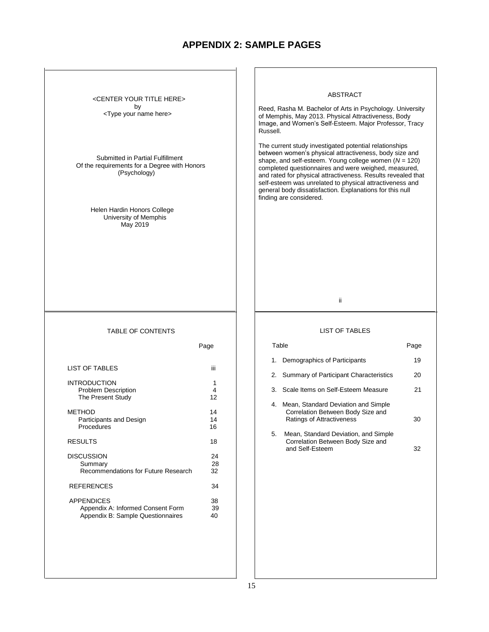## <span id="page-14-0"></span>**APPENDIX 2: SAMPLE PAGES**

<CENTER YOUR TITLE HERE> by <Type your name here>

Submitted in Partial Fulfillment Of the requirements for a Degree with Honors (Psychology)

> Helen Hardin Honors College University of Memphis May 2019

#### TABLE OF CONTENTS

| LIST OF TABLES                      | iii |
|-------------------------------------|-----|
| <b>INTRODUCTION</b>                 | 1   |
| <b>Problem Description</b>          | 4   |
| The Present Study                   | 12  |
| <b>METHOD</b>                       | 14  |
| Participants and Design             | 14  |
| Procedures                          | 16  |
| <b>RESULTS</b>                      | 18  |
| <b>DISCUSSION</b>                   | 24  |
| Summary                             | 28  |
| Recommendations for Future Research | 32  |
| <b>REFERENCES</b>                   | 34  |
| <b>APPENDICES</b>                   | 38  |
| Appendix A: Informed Consent Form   | 39  |
| Appendix B: Sample Questionnaires   | 40  |

# ABSTRACT Reed, Rasha M. Bachelor of Arts in Psychology. University of Memphis, May 2013. Physical Attractiveness, Body Image, and Women's Self-Esteem. Major Professor, Tracy Russell. The current study investigated potential relationships between women's physical attractiveness, body size and shape, and self-esteem. Young college women (*N* = 120) completed questionnaires and were weighed, measured, and rated for physical attractiveness. Results revealed that self-esteem was unrelated to physical attractiveness and general body dissatisfaction. Explanations for this null finding are considered.

ii

#### LIST OF TABLES

|    | Table                                                                                                 | Page |
|----|-------------------------------------------------------------------------------------------------------|------|
|    | 1. Demographics of Participants                                                                       | 19   |
|    | 2. Summary of Participant Characteristics                                                             | 20   |
|    | 3. Scale Items on Self-Esteem Measure                                                                 | 21   |
| 4. | Mean, Standard Deviation and Simple<br>Correlation Between Body Size and<br>Ratings of Attractiveness | 30   |

5. Mean, Standard Deviation, and Simple Correlation Between Body Size and and Self-Esteem 32